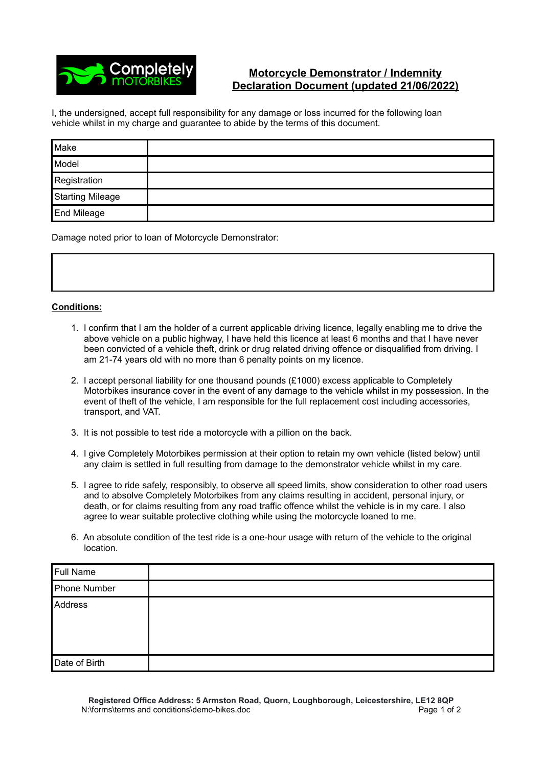

## **Motorcycle Demonstrator / Indemnity Declaration Document (updated 21/06/2022)**

I, the undersigned, accept full responsibility for any damage or loss incurred for the following loan vehicle whilst in my charge and guarantee to abide by the terms of this document.

| Make             |  |
|------------------|--|
| Model            |  |
| Registration     |  |
| Starting Mileage |  |
| End Mileage      |  |

Damage noted prior to loan of Motorcycle Demonstrator:

## **Conditions:**

- 1. I confirm that I am the holder of a current applicable driving licence, legally enabling me to drive the above vehicle on a public highway, I have held this licence at least 6 months and that I have never been convicted of a vehicle theft, drink or drug related driving offence or disqualified from driving. I am 21-74 years old with no more than 6 penalty points on my licence.
- 2. I accept personal liability for one thousand pounds (£1000) excess applicable to Completely Motorbikes insurance cover in the event of any damage to the vehicle whilst in my possession. In the event of theft of the vehicle, I am responsible for the full replacement cost including accessories, transport, and VAT.
- 3. It is not possible to test ride a motorcycle with a pillion on the back.
- 4. I give Completely Motorbikes permission at their option to retain my own vehicle (listed below) until any claim is settled in full resulting from damage to the demonstrator vehicle whilst in my care.
- 5. I agree to ride safely, responsibly, to observe all speed limits, show consideration to other road users and to absolve Completely Motorbikes from any claims resulting in accident, personal injury, or death, or for claims resulting from any road traffic offence whilst the vehicle is in my care. I also agree to wear suitable protective clothing while using the motorcycle loaned to me.
- 6. An absolute condition of the test ride is a one-hour usage with return of the vehicle to the original location.

| <b>Full Name</b> |  |
|------------------|--|
| Phone Number     |  |
| Address          |  |
| Date of Birth    |  |